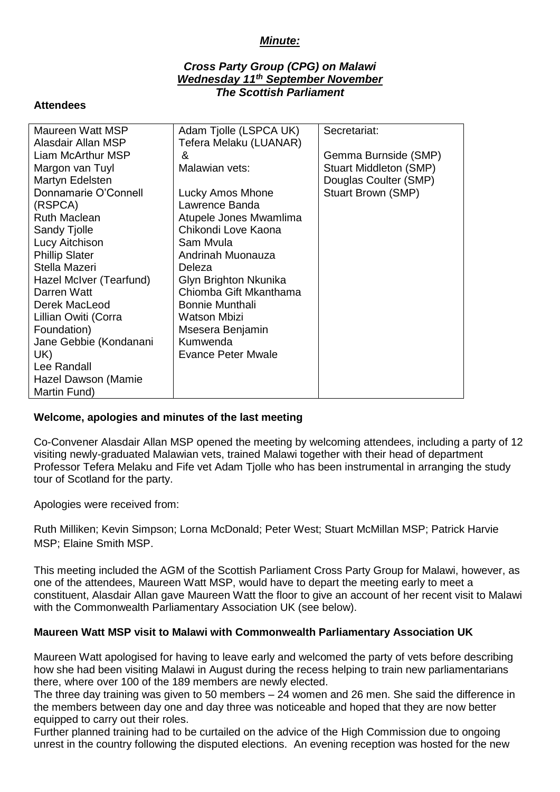# *Minute:*

## *Cross Party Group (CPG) on Malawi Wednesday 11th September November The Scottish Parliament*

#### **Attendees**

| Maureen Watt MSP        | Adam Tjolle (LSPCA UK)    | Secretariat:           |
|-------------------------|---------------------------|------------------------|
| Alasdair Allan MSP      | Tefera Melaku (LUANAR)    |                        |
| Liam McArthur MSP       | &                         | Gemma Burnside (SMP)   |
| Margon van Tuyl         | Malawian vets:            | Stuart Middleton (SMP) |
| Martyn Edelsten         |                           | Douglas Coulter (SMP)  |
| Donnamarie O'Connell    | Lucky Amos Mhone          | Stuart Brown (SMP)     |
| (RSPCA)                 | Lawrence Banda            |                        |
| <b>Ruth Maclean</b>     | Atupele Jones Mwamlima    |                        |
| Sandy Tjolle            | Chikondi Love Kaona       |                        |
| Lucy Aitchison          | Sam Mvula                 |                        |
| <b>Phillip Slater</b>   | Andrinah Muonauza         |                        |
| Stella Mazeri           | Deleza                    |                        |
| Hazel McIver (Tearfund) | Glyn Brighton Nkunika     |                        |
| Darren Watt             | Chiomba Gift Mkanthama    |                        |
| Derek MacLeod           | <b>Bonnie Munthali</b>    |                        |
| Lillian Owiti (Corra    | <b>Watson Mbizi</b>       |                        |
| Foundation)             | Msesera Benjamin          |                        |
| Jane Gebbie (Kondanani  | Kumwenda                  |                        |
| UK)                     | <b>Evance Peter Mwale</b> |                        |
| Lee Randall             |                           |                        |
| Hazel Dawson (Mamie     |                           |                        |
| Martin Fund)            |                           |                        |

### **Welcome, apologies and minutes of the last meeting**

Co-Convener Alasdair Allan MSP opened the meeting by welcoming attendees, including a party of 12 visiting newly-graduated Malawian vets, trained Malawi together with their head of department Professor Tefera Melaku and Fife vet Adam Tjolle who has been instrumental in arranging the study tour of Scotland for the party.

Apologies were received from:

Ruth Milliken; Kevin Simpson; Lorna McDonald; Peter West; Stuart McMillan MSP; Patrick Harvie MSP; Elaine Smith MSP.

This meeting included the AGM of the Scottish Parliament Cross Party Group for Malawi, however, as one of the attendees, Maureen Watt MSP, would have to depart the meeting early to meet a constituent, Alasdair Allan gave Maureen Watt the floor to give an account of her recent visit to Malawi with the Commonwealth Parliamentary Association UK (see below).

### **Maureen Watt MSP visit to Malawi with Commonwealth Parliamentary Association UK**

Maureen Watt apologised for having to leave early and welcomed the party of vets before describing how she had been visiting Malawi in August during the recess helping to train new parliamentarians there, where over 100 of the 189 members are newly elected.

The three day training was given to 50 members – 24 women and 26 men. She said the difference in the members between day one and day three was noticeable and hoped that they are now better equipped to carry out their roles.

Further planned training had to be curtailed on the advice of the High Commission due to ongoing unrest in the country following the disputed elections. An evening reception was hosted for the new